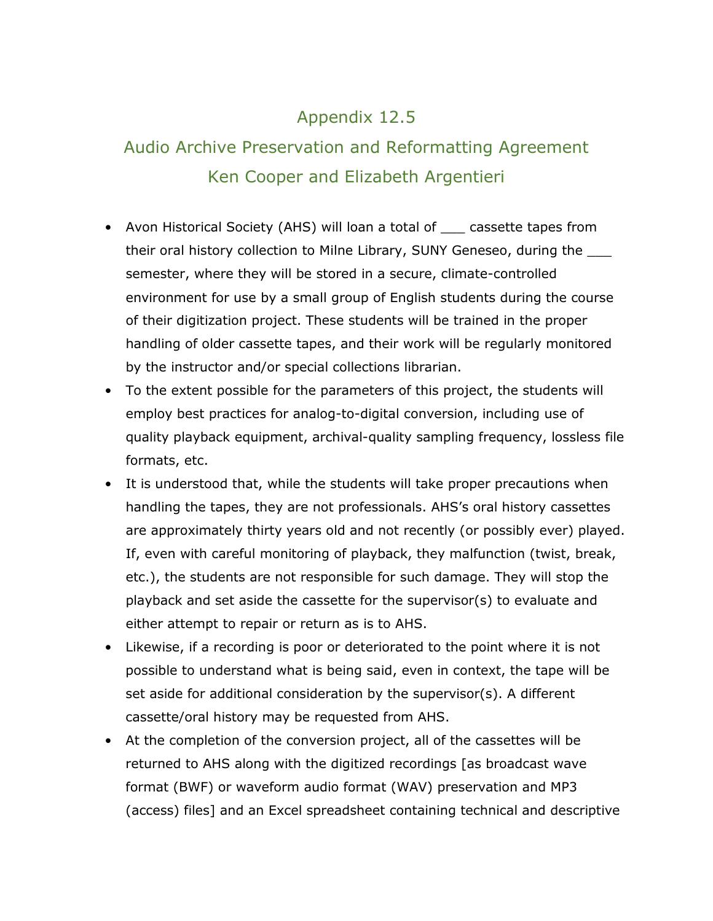## Appendix 12.5

## Audio Archive Preservation and Reformatting Agreement Ken Cooper and Elizabeth Argentieri

- Avon Historical Society (AHS) will loan a total of \_\_\_ cassette tapes from their oral history collection to Milne Library, SUNY Geneseo, during the semester, where they will be stored in a secure, climate-controlled environment for use by a small group of English students during the course of their digitization project. These students will be trained in the proper handling of older cassette tapes, and their work will be regularly monitored by the instructor and/or special collections librarian.
- To the extent possible for the parameters of this project, the students will employ best practices for analog-to-digital conversion, including use of quality playback equipment, archival-quality sampling frequency, lossless file formats, etc.
- It is understood that, while the students will take proper precautions when handling the tapes, they are not professionals. AHS's oral history cassettes are approximately thirty years old and not recently (or possibly ever) played. If, even with careful monitoring of playback, they malfunction (twist, break, etc.), the students are not responsible for such damage. They will stop the playback and set aside the cassette for the supervisor(s) to evaluate and either attempt to repair or return as is to AHS.
- Likewise, if a recording is poor or deteriorated to the point where it is not possible to understand what is being said, even in context, the tape will be set aside for additional consideration by the supervisor(s). A different cassette/oral history may be requested from AHS.
- At the completion of the conversion project, all of the cassettes will be returned to AHS along with the digitized recordings [as broadcast wave format (BWF) or waveform audio format (WAV) preservation and MP3 (access) files] and an Excel spreadsheet containing technical and descriptive